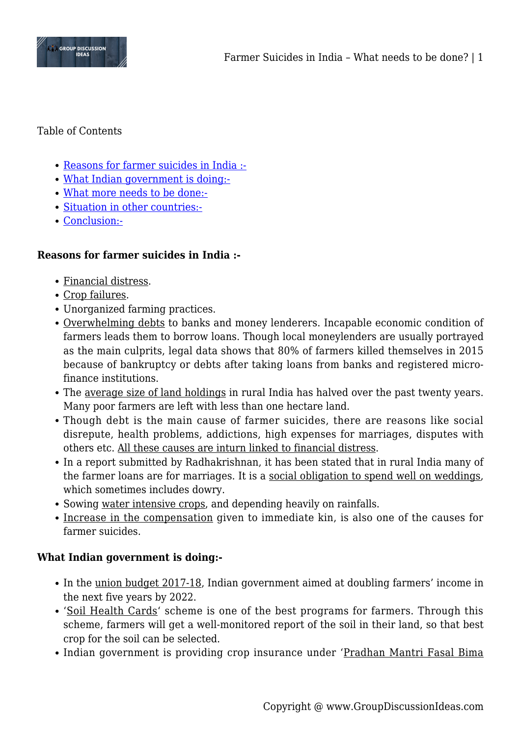

### Table of Contents

- [Reasons for farmer suicides in India :-](#page--1-0)
- [What Indian government is doing:-](#page--1-0)
- [What more needs to be done:-](#page--1-0)
- [Situation in other countries:-](#page--1-0)
- [Conclusion:-](#page--1-0)

## **Reasons for farmer suicides in India :-**

- Financial distress.
- Crop failures.
- Unorganized farming practices.
- Overwhelming debts to banks and money lenderers. Incapable economic condition of farmers leads them to borrow loans. Though local moneylenders are usually portrayed as the main culprits, legal data shows that 80% of farmers killed themselves in 2015 because of bankruptcy or debts after taking loans from banks and registered microfinance institutions.
- The average size of land holdings in rural India has halved over the past twenty years. Many poor farmers are left with less than one hectare land.
- Though debt is the main cause of farmer suicides, there are reasons like social disrepute, health problems, addictions, high expenses for marriages, disputes with others etc. All these causes are inturn linked to financial distress.
- In a report submitted by Radhakrishnan, it has been stated that in rural India many of the farmer loans are for marriages. It is a social obligation to spend well on weddings, which sometimes includes dowry.
- Sowing water intensive crops, and depending heavily on rainfalls.
- Increase in the compensation given to immediate kin, is also one of the causes for farmer suicides.

#### **What Indian government is doing:-**

- In the union budget 2017-18, Indian government aimed at doubling farmers' income in the next five years by 2022.
- 'Soil Health Cards' scheme is one of the best programs for farmers. Through this scheme, farmers will get a well-monitored report of the soil in their land, so that best crop for the soil can be selected.
- Indian government is providing crop insurance under 'Pradhan Mantri Fasal Bima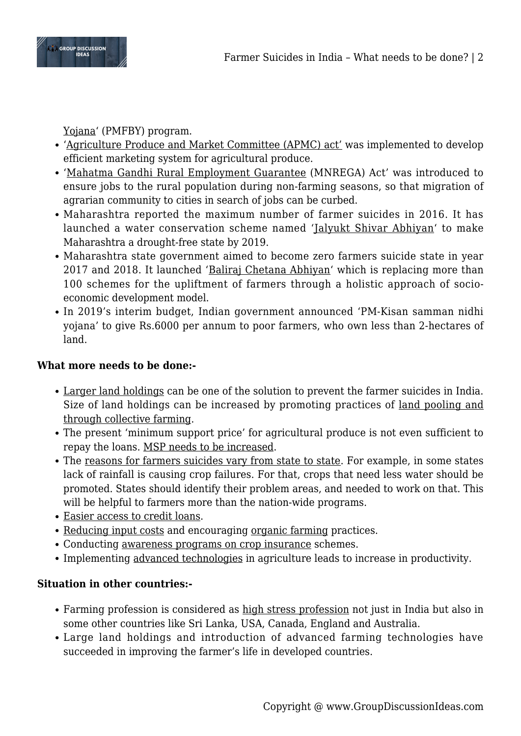

Yojana' (PMFBY) program.

- 'Agriculture Produce and Market Committee (APMC) act' was implemented to develop efficient marketing system for agricultural produce.
- 'Mahatma Gandhi Rural Employment Guarantee (MNREGA) Act' was introduced to ensure jobs to the rural population during non-farming seasons, so that migration of agrarian community to cities in search of jobs can be curbed.
- Maharashtra reported the maximum number of farmer suicides in 2016. It has launched a water conservation scheme named 'Jalyukt Shivar Abhiyan' to make Maharashtra a drought-free state by 2019.
- Maharashtra state government aimed to become zero farmers suicide state in year 2017 and 2018. It launched 'Baliraj Chetana Abhiyan' which is replacing more than 100 schemes for the upliftment of farmers through a holistic approach of socioeconomic development model.
- In 2019's interim budget, Indian government announced 'PM-Kisan samman nidhi yojana' to give Rs.6000 per annum to poor farmers, who own less than 2-hectares of land.

# **What more needs to be done:-**

- Larger land holdings can be one of the solution to prevent the farmer suicides in India. Size of land holdings can be increased by promoting practices of land pooling and through collective farming.
- The present 'minimum support price' for agricultural produce is not even sufficient to repay the loans. MSP needs to be increased.
- The reasons for farmers suicides vary from state to state. For example, in some states lack of rainfall is causing crop failures. For that, crops that need less water should be promoted. States should identify their problem areas, and needed to work on that. This will be helpful to farmers more than the nation-wide programs.
- Easier access to credit loans.
- Reducing input costs and encouraging organic farming practices.
- Conducting awareness programs on crop insurance schemes.
- Implementing advanced technologies in agriculture leads to increase in productivity.

# **Situation in other countries:-**

- Farming profession is considered as high stress profession not just in India but also in some other countries like Sri Lanka, USA, Canada, England and Australia.
- Large land holdings and introduction of advanced farming technologies have succeeded in improving the farmer's life in developed countries.